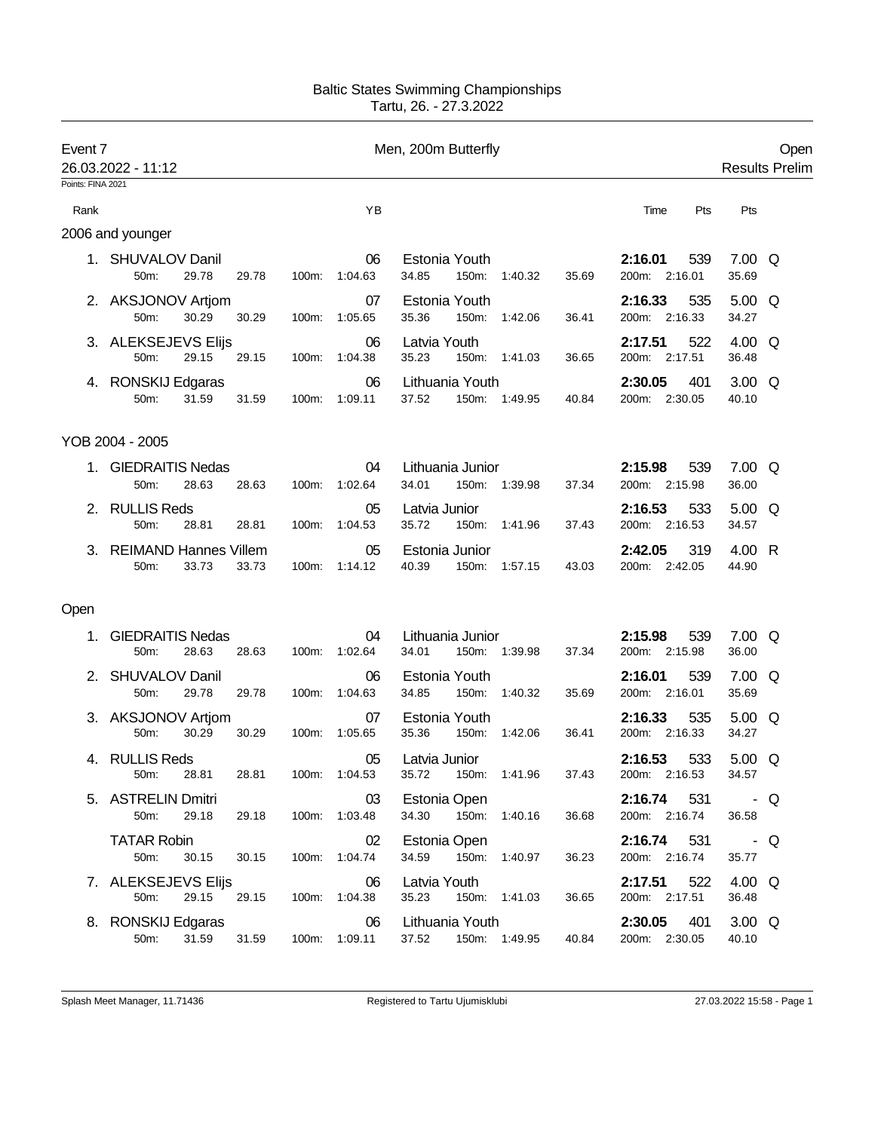## Baltic States Swimming Championships Tartu, 26. - 27.3.2022

| Event 7<br>26.03.2022 - 11:12 |                                                   |       |       |                     | Men, 200m Butterfly                        |       | Open<br><b>Results Prelim</b>   |                            |
|-------------------------------|---------------------------------------------------|-------|-------|---------------------|--------------------------------------------|-------|---------------------------------|----------------------------|
| Points: FINA 2021             |                                                   |       |       |                     |                                            |       |                                 |                            |
| Rank                          |                                                   |       |       | YB                  |                                            |       | Pts<br>Time                     | Pts                        |
|                               | 2006 and younger                                  |       |       |                     |                                            |       |                                 |                            |
|                               | 1. SHUVALOV Danil<br>50m:<br>29.78                | 29.78 | 100m: | 06<br>1:04.63       | Estonia Youth<br>34.85<br>150m:<br>1:40.32 | 35.69 | 2:16.01<br>539<br>200m: 2:16.01 | $7.00 \quad Q$<br>35.69    |
|                               | 2. AKSJONOV Artjom<br>50m:<br>30.29               | 30.29 |       | 07<br>100m: 1:05.65 | Estonia Youth<br>35.36<br>150m: 1:42.06    | 36.41 | 2:16.33<br>535<br>200m: 2:16.33 | $5.00\quad\Omega$<br>34.27 |
|                               | 3. ALEKSEJEVS Elijs<br>50 <sub>m</sub> :<br>29.15 | 29.15 | 100m: | 06<br>1:04.38       | Latvia Youth<br>35.23<br>150m: 1:41.03     | 36.65 | 2:17.51<br>522<br>200m: 2:17.51 | $4.00\quad\Omega$<br>36.48 |
|                               | 4. RONSKIJ Edgaras<br>50m:<br>31.59               | 31.59 | 100m: | 06<br>1:09.11       | Lithuania Youth<br>37.52<br>150m: 1:49.95  | 40.84 | 2:30.05<br>401<br>200m: 2:30.05 | $3.00\quad Q$<br>40.10     |
|                               | YOB 2004 - 2005                                   |       |       |                     |                                            |       |                                 |                            |
|                               | 1. GIEDRAITIS Nedas<br>50m:<br>28.63              | 28.63 | 100m: | 04<br>1:02.64       | Lithuania Junior<br>34.01<br>150m: 1:39.98 | 37.34 | 2:15.98<br>539<br>200m: 2:15.98 | $7.00 \Omega$<br>36.00     |
|                               | 2. RULLIS Reds<br>50m:<br>28.81                   | 28.81 |       | 05<br>100m: 1:04.53 | Latvia Junior<br>35.72<br>150m: 1:41.96    | 37.43 | 2:16.53<br>533<br>200m: 2:16.53 | $5.00\quad Q$<br>34.57     |
|                               | 3. REIMAND Hannes Villem<br>50m:<br>33.73         | 33.73 | 100m: | 05<br>1:14.12       | Estonia Junior<br>40.39<br>150m: 1:57.15   | 43.03 | 2:42.05<br>319<br>200m: 2:42.05 | 4.00 R<br>44.90            |
| Open                          |                                                   |       |       |                     |                                            |       |                                 |                            |
| 1.                            | <b>GIEDRAITIS Nedas</b><br>50m:<br>28.63          | 28.63 | 100m: | 04<br>1:02.64       | Lithuania Junior<br>34.01<br>150m: 1:39.98 | 37.34 | 2:15.98<br>539<br>200m: 2:15.98 | $7.00\quad$<br>36.00       |
|                               | 2. SHUVALOV Danil<br>50m:<br>29.78                | 29.78 |       | 06<br>100m: 1:04.63 | Estonia Youth<br>150m:<br>34.85<br>1:40.32 | 35.69 | 2:16.01<br>539<br>200m: 2:16.01 | $7.00\quad$<br>35.69       |
|                               | 3. AKSJONOV Artjom<br>50m:<br>30.29               | 30.29 | 100m: | 07<br>1:05.65       | Estonia Youth<br>35.36<br>150m:<br>1:42.06 | 36.41 | 2:16.33<br>535<br>200m: 2:16.33 | $5.00\quad\Omega$<br>34.27 |
|                               | 4. RULLIS Reds<br>28.81<br>50m:                   | 28.81 |       | 05<br>100m: 1:04.53 | Latvia Junior<br>35.72 150m: 1:41.96       | 37.43 | 2:16.53<br>533<br>200m: 2:16.53 | $5.00 \quad Q$<br>34.57    |
|                               | 5. ASTRELIN Dmitri<br>29.18<br>50m:               | 29.18 |       | 03<br>100m: 1:03.48 | Estonia Open<br>34.30<br>150m: 1:40.16     | 36.68 | 2:16.74 531<br>200m: 2:16.74    | . Q<br>36.58               |
|                               | <b>TATAR Robin</b><br>50m:<br>30.15               | 30.15 |       | 02<br>100m: 1:04.74 | Estonia Open<br>34.59  150m: 1:40.97       | 36.23 | 2:16.74<br>531<br>200m: 2:16.74 | - Q<br>35.77               |
|                               | 7. ALEKSEJEVS Elijs<br>29.15<br>50m:              | 29.15 |       | 06<br>100m: 1:04.38 | Latvia Youth<br>35.23<br>150m: 1:41.03     | 36.65 | 2:17.51 522<br>200m: 2:17.51    | $4.00\quad$<br>36.48       |
|                               | 8. RONSKIJ Edgaras<br>50m:<br>31.59               | 31.59 |       | 06<br>100m: 1:09.11 | Lithuania Youth<br>37.52<br>150m: 1:49.95  | 40.84 | 2:30.05<br>401<br>200m: 2:30.05 | $3.00 \quad Q$<br>40.10    |